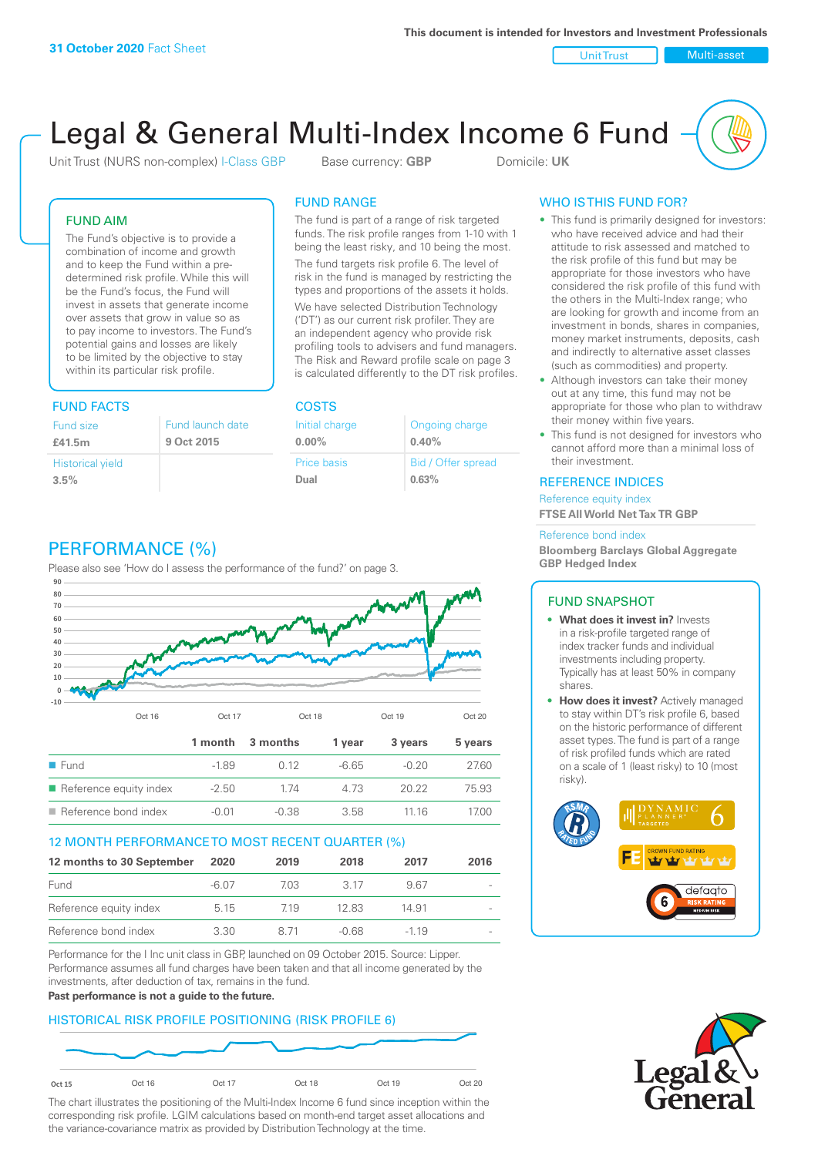Unit Trust Nulti-asset

# Legal & General Multi-Index Income 6 Fund

Unit Trust (NURS non-complex) I-Class GBP Base currency: **GBP** Domicile: UK

### FUND AIM

The Fund's objective is to provide a combination of income and growth and to keep the Fund within a predetermined risk profile. While this will be the Fund's focus, the Fund will invest in assets that generate income over assets that grow in value so as to pay income to investors. The Fund's potential gains and losses are likely to be limited by the objective to stay within its particular risk profile.

### FUND FACTS COSTS

| Fund size<br>£41.5m     | Fund launch date<br>9 Oct 2015 |
|-------------------------|--------------------------------|
| <b>Historical yield</b> |                                |
| 3.5%                    |                                |

### FUND RANGE

The fund is part of a range of risk targeted funds. The risk profile ranges from 1-10 with 1 being the least risky, and 10 being the most.

The fund targets risk profile 6. The level of risk in the fund is managed by restricting the types and proportions of the assets it holds. We have selected Distribution Technology ('DT') as our current risk profiler. They are an independent agency who provide risk profiling tools to advisers and fund managers. The Risk and Reward profile scale on page 3 is calculated differently to the DT risk profiles.

| Initial charge | Ongoing charge     |
|----------------|--------------------|
| $0.00\%$       | 0.40%              |
| Price basis    | Bid / Offer spread |
| Dual           | 0.63%              |

### WHO IS THIS FUND FOR?

- This fund is primarily designed for investors: who have received advice and had their attitude to risk assessed and matched to the risk profile of this fund but may be appropriate for those investors who have considered the risk profile of this fund with the others in the Multi-Index range; who are looking for growth and income from an investment in bonds, shares in companies, money market instruments, deposits, cash and indirectly to alternative asset classes (such as commodities) and property.
- Although investors can take their money out at any time, this fund may not be appropriate for those who plan to withdraw their money within five years.
- This fund is not designed for investors who cannot afford more than a minimal loss of their investment.

### REFERENCE INDICES

Reference equity index **FTSE All World Net Tax TR GBP**

#### Reference bond index

**Bloomberg Barclays Global Aggregate GBP Hedged Index**

### FUND SNAPSHOT

- **• What does it invest in?** Invests in a risk-profile targeted range of index tracker funds and individual investments including property. Typically has at least 50% in company shares.
- **• How does it invest?** Actively managed to stay within DT's risk profile 6, based on the historic performance of different asset types. The fund is part of a range of risk profiled funds which are rated on a scale of 1 (least risky) to 10 (most risky).





### PERFORMANCE (%)

Please also see 'How do I assess the performance of the fund?' on page 3.



### 12 MONTH PERFORMANCE TO MOST RECENT QUARTER (%)

| 12 months to 30 September | 2020  | 2019 | 2018    | 2017   | 2016                     |
|---------------------------|-------|------|---------|--------|--------------------------|
| Fund                      | -6.07 | 7.03 | 3 17    | 967    | $\overline{\phantom{a}}$ |
| Reference equity index    | 5.15  | 719  | 12.83   | 14.91  |                          |
| Reference bond index      | 3.30  | 8 71 | $-0.68$ | $-119$ |                          |

Performance for the I Inc unit class in GBP, launched on 09 October 2015. Source: Lipper. Performance assumes all fund charges have been taken and that all income generated by the investments, after deduction of tax, remains in the fund.

#### **Past performance is not a guide to the future.**

### HISTORICAL RISK PROFILE POSITIONING (RISK PROFILE 6)



The chart illustrates the positioning of the Multi-Index Income 6 fund since inception within the corresponding risk profile. LGIM calculations based on month-end target asset allocations and the variance-covariance matrix as provided by Distribution Technology at the time.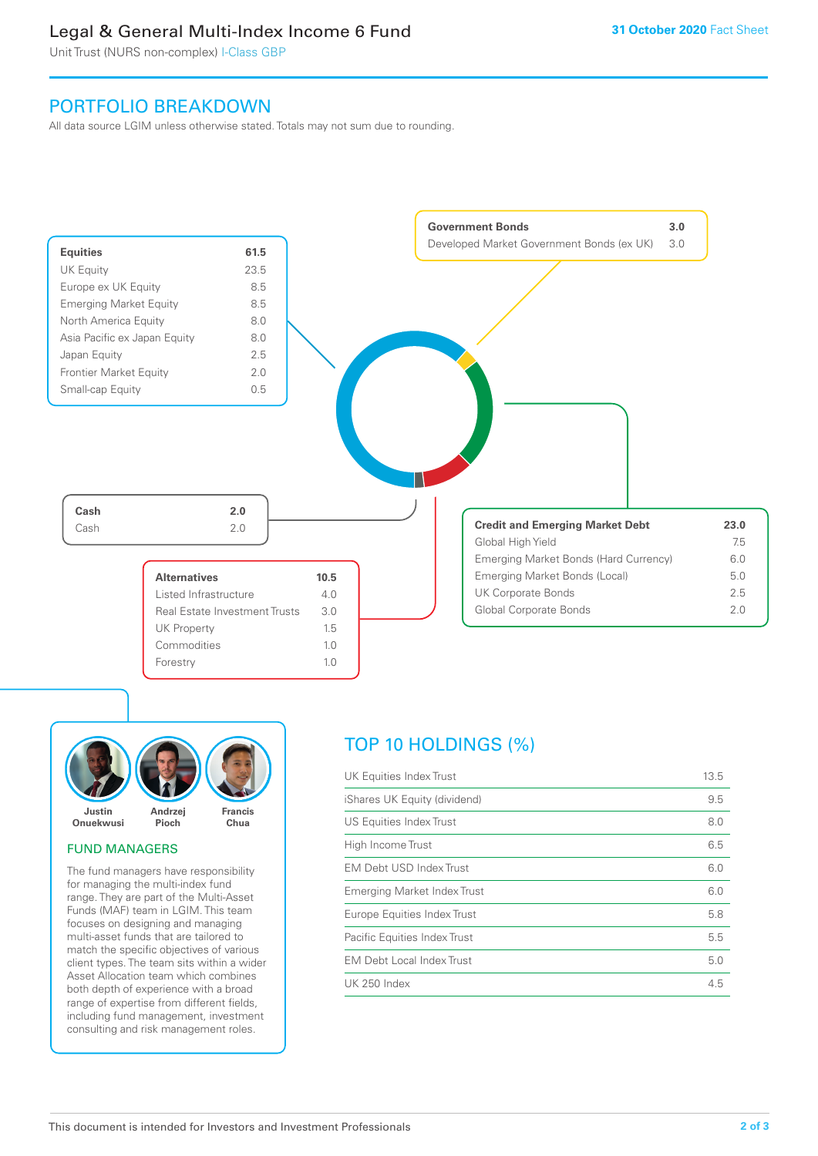### Legal & General Multi-Index Income 6 Fund

Unit Trust (NURS non-complex) I-Class GBP

### PORTFOLIO BREAKDOWN

All data source LGIM unless otherwise stated. Totals may not sum due to rounding.





### FUND MANAGERS

The fund managers have responsibility for managing the multi-index fund range. They are part of the Multi-Asset Funds (MAF) team in LGIM. This team focuses on designing and managing multi-asset funds that are tailored to match the specific objectives of various client types. The team sits within a wider Asset Allocation team which combines both depth of experience with a broad range of expertise from different fields, including fund management, investment consulting and risk management roles.

## TOP 10 HOLDINGS (%)

| UK Equities Index Trust          | 13.5 |
|----------------------------------|------|
| iShares UK Equity (dividend)     | 9.5  |
| US Equities Index Trust          | 8.0  |
| High Income Trust                | 6.5  |
| EM Debt USD Index Trust          | 6.0  |
| Emerging Market Index Trust      | 6.0  |
| Europe Equities Index Trust      | 5.8  |
| Pacific Equities Index Trust     | 5.5  |
| <b>EM Debt Local Index Trust</b> | 5.0  |
| UK 250 Index                     | 4.5  |
|                                  |      |